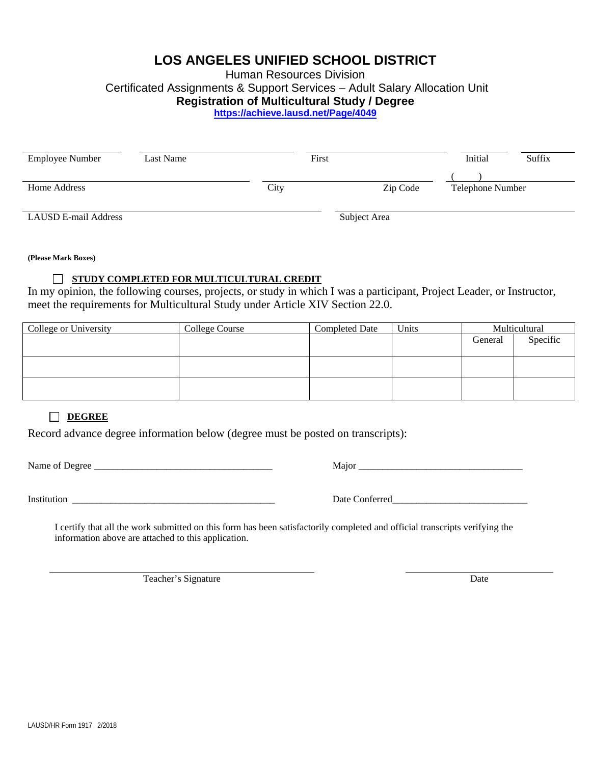# **LOS ANGELES UNIFIED SCHOOL DISTRICT**

Human Resources Division

Certificated Assignments & Support Services – Adult Salary Allocation Unit

## **Registration of Multicultural Study / Degree**

**https://achieve.lausd.net/Page/4049**

| <b>Employee Number</b> | Last Name | First |              | Initial          | Suffix |
|------------------------|-----------|-------|--------------|------------------|--------|
|                        |           |       |              |                  |        |
| Home Address           |           | City  | Zip Code     | Telephone Number |        |
| LAUSD E-mail Address   |           |       | Subject Area |                  |        |

**(Please Mark Boxes)**

## **STUDY COMPLETED FOR MULTICULTURAL CREDIT**

In my opinion, the following courses, projects, or study in which I was a participant, Project Leader, or Instructor, meet the requirements for Multicultural Study under Article XIV Section 22.0.

| College or University | College Course | <b>Completed Date</b> | Units | Multicultural |          |
|-----------------------|----------------|-----------------------|-------|---------------|----------|
|                       |                |                       |       | General       | Specific |
|                       |                |                       |       |               |          |
|                       |                |                       |       |               |          |
|                       |                |                       |       |               |          |
|                       |                |                       |       |               |          |
|                       |                |                       |       |               |          |

# **DEGREE**

Record advance degree information below (degree must be posted on transcripts):

Name of Degree \_\_\_\_\_\_\_\_\_\_\_\_\_\_\_\_\_\_\_\_\_\_\_\_\_\_\_\_\_\_\_\_\_\_\_\_\_ Major \_\_\_\_\_\_\_\_\_\_\_\_\_\_\_\_\_\_\_\_\_\_\_\_\_\_\_\_\_\_\_\_\_\_

Institution \_\_\_\_\_\_\_\_\_\_\_\_\_\_\_\_\_\_\_\_\_\_\_\_\_\_\_\_\_\_\_\_\_\_\_\_\_\_\_\_\_\_ Date Conferred\_\_\_\_\_\_\_\_\_\_\_\_\_\_\_\_\_\_\_\_\_\_\_\_\_\_\_\_

 I certify that all the work submitted on this form has been satisfactorily completed and official transcripts verifying the information above are attached to this application.

Teacher's Signature Date